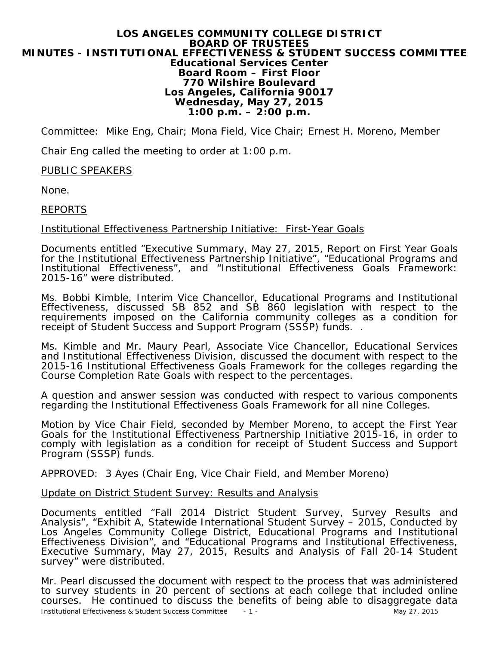#### **LOS ANGELES COMMUNITY COLLEGE DISTRICT BOARD OF TRUSTEES MINUTES - INSTITUTIONAL EFFECTIVENESS & STUDENT SUCCESS COMMITTEE Educational Services Center Board Room – First Floor 770 Wilshire Boulevard Los Angeles, California 90017 Wednesday, May 27, 2015 1:00 p.m. – 2:00 p.m.**

Committee: Mike Eng, Chair; Mona Field, Vice Chair; Ernest H. Moreno, Member

Chair Eng called the meeting to order at 1:00 p.m.

## PUBLIC SPEAKERS

None.

## REPORTS

## Institutional Effectiveness Partnership Initiative: First-Year Goals

Documents entitled "Executive Summary, May 27, 2015, Report on First Year Goals for the Institutional Effectiveness Partnership Initiative", "Educational Programs and Institutional Effectiveness", and "Institutional Effectiveness Goals Framework: 2015-16" were distributed.

Ms. Bobbi Kimble, Interim Vice Chancellor, Educational Programs and Institutional Effectiveness, discussed SB 852 and SB 860 legislation with respect to the requirements imposed on the California community colleges as a condition for receipt of Student Success and Support Program (SSSP) funds. .

Ms. Kimble and Mr. Maury Pearl, Associate Vice Chancellor, Educational Services and Institutional Effectiveness Division, discussed the document with respect to the 2015-16 Institutional Effectiveness Goals Framework for the colleges regarding the Course Completion Rate Goals with respect to the percentages.

A question and answer session was conducted with respect to various components regarding the Institutional Effectiveness Goals Framework for all nine Colleges.

Motion by Vice Chair Field, seconded by Member Moreno, to accept the First Year Goals for the Institutional Effectiveness Partnership Initiative 2015-16, in order to comply with legislation as a condition for receipt of Student Success and Support Program (SSSP) funds.

*APPROVED: 3 Ayes (Chair Eng, Vice Chair Field, and Member Moreno)*

Update on District Student Survey: Results and Analysis

Documents entitled "Fall 2014 District Student Survey, Survey Results and Analysis", "Exhibit A, Statewide International Student Survey – 2015, Conducted by Los Angeles Community College District, Educational Programs and Institutional Effectiveness Division", and "Educational Programs and Institutional Effectiveness, Executive Summary, May 27, 2015, Results and Analysis of Fall 20-14 Student survey" were distributed.

Mr. Pearl discussed the document with respect to the process that was administered to survey students in 20 percent of sections at each college that included online courses. He continued to discuss the benefits of being able to disaggregate data